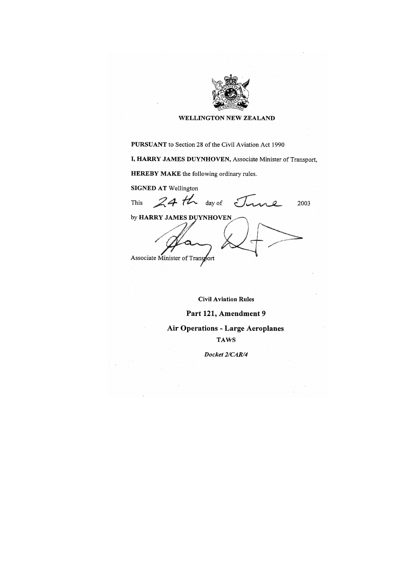

#### **WELLINGTON NEW ZEALAND**

**PURSUANT** to Section 28 of the Civil Aviation Act 1990

I, HARRY JAMES DUYNHOVEN, Associate Minister of Transport,

**HEREBY MAKE** the following ordinary rules.

**SIGNED AT Wellington** 

This

 $24th$  day of  $\zeta$ 

2003

by HARRY JAMES DUYNHOVEN Associate Minister of Transport

**Civil Aviation Rules** 

#### Part 121, Amendment 9

### **Air Operations - Large Aeroplanes**

#### **TAWS**

Docket 2/CAR/4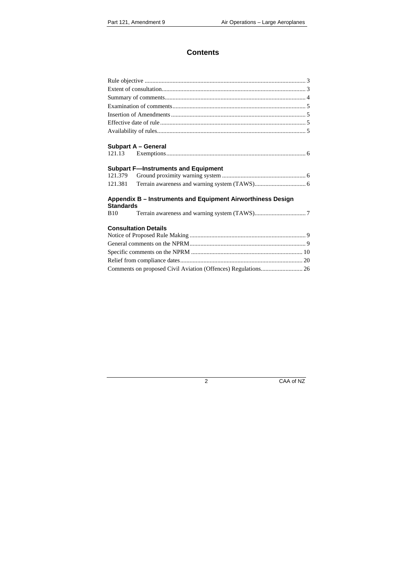# **Contents**

| <b>Subpart A - General</b>                                                      |  |
|---------------------------------------------------------------------------------|--|
|                                                                                 |  |
| <b>Subpart F-Instruments and Equipment</b>                                      |  |
| 121.379                                                                         |  |
| 121.381                                                                         |  |
| Appendix B - Instruments and Equipment Airworthiness Design<br><b>Standards</b> |  |
| <b>B</b> 10                                                                     |  |
| <b>Consultation Details</b>                                                     |  |
|                                                                                 |  |
|                                                                                 |  |
|                                                                                 |  |
|                                                                                 |  |
| Comments on proposed Civil Aviation (Offences) Regulations 26                   |  |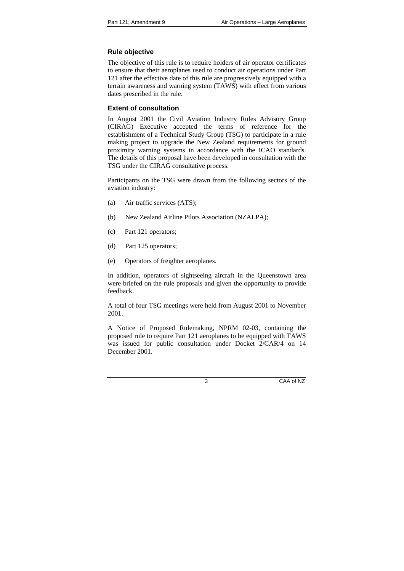# **Rule objective**

The objective of this rule is to require holders of air operator certificates to ensure that their aeroplanes used to conduct air operations under Part 121 after the effective date of this rule are progressively equipped with a terrain awareness and warning system (TAWS) with effect from various dates prescribed in the rule.

# <span id="page-2-0"></span>**Extent of consultation**

<span id="page-2-1"></span>In August 2001 the Civil Aviation Industry Rules Advisory Group (CIRAG) Executive accepted the terms of reference for the establishment of a Technical Study Group (TSG) to participate in a rule making project to upgrade the New Zealand requirements for ground proximity warning systems in accordance with the ICAO standards. The details of this proposal have been developed in consultation with the TSG under the CIRAG consultative process.

Participants on the TSG were drawn from the following sectors of the aviation industry:

- (a) Air traffic services (ATS);
- (b) New Zealand Airline Pilots Association (NZALPA);
- (c) Part 121 operators;
- (d) Part 125 operators;
- (e) Operators of freighter aeroplanes.

In addition, operators of sightseeing aircraft in the Queenstown area were briefed on the rule proposals and given the opportunity to provide feedback.

A total of four TSG meetings were held from August 2001 to November 2001.

A Notice of Proposed Rulemaking, NPRM 02-03, containing the proposed rule to require Part 121 aeroplanes to be equipped with TAWS was issued for public consultation under Docket 2/CAR/4 on 14 December 2001.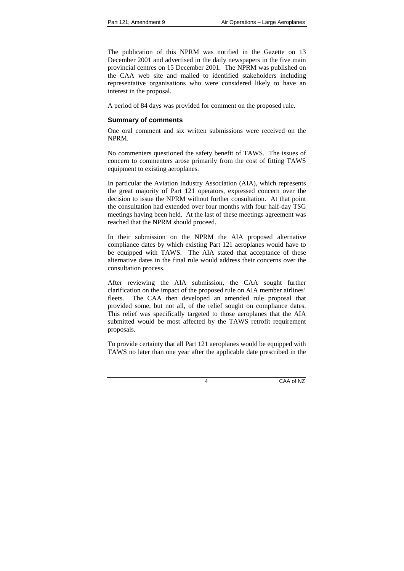The publication of this NPRM was notified in the Gazette on 13 December 2001 and advertised in the daily newspapers in the five main provincial centres on 15 December 2001. The NPRM was published on the CAA web site and mailed to identified stakeholders including representative organisations who were considered likely to have an interest in the proposal.

A period of 84 days was provided for comment on the proposed rule.

# **Summary of comments**

One oral comment and six written submissions were received on the NPRM.

<span id="page-3-0"></span>No commenters questioned the safety benefit of TAWS. The issues of concern to commenters arose primarily from the cost of fitting TAWS equipment to existing aeroplanes.

In particular the Aviation Industry Association (AIA), which represents the great majority of Part 121 operators, expressed concern over the decision to issue the NPRM without further consultation. At that point the consultation had extended over four months with four half-day TSG meetings having been held. At the last of these meetings agreement was reached that the NPRM should proceed.

In their submission on the NPRM the AIA proposed alternative compliance dates by which existing Part 121 aeroplanes would have to be equipped with TAWS. The AIA stated that acceptance of these alternative dates in the final rule would address their concerns over the consultation process.

After reviewing the AIA submission, the CAA sought further clarification on the impact of the proposed rule on AIA member airlines' fleets. The CAA then developed an amended rule proposal that provided some, but not all, of the relief sought on compliance dates. This relief was specifically targeted to those aeroplanes that the AIA submitted would be most affected by the TAWS retrofit requirement proposals.

To provide certainty that all Part 121 aeroplanes would be equipped with TAWS no later than one year after the applicable date prescribed in the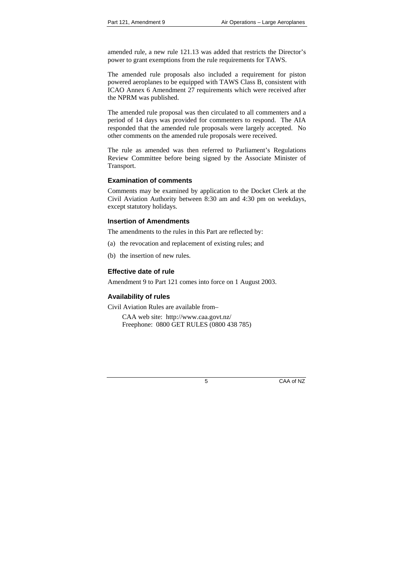amended rule, a new rule 121.13 was added that restricts the Director's power to grant exemptions from the rule requirements for TAWS.

The amended rule proposals also included a requirement for piston powered aeroplanes to be equipped with TAWS Class B, consistent with ICAO Annex 6 Amendment 27 requirements which were received after the NPRM was published.

The amended rule proposal was then circulated to all commenters and a period of 14 days was provided for commenters to respond. The AIA responded that the amended rule proposals were largely accepted. No other comments on the amended rule proposals were received.

The rule as amended was then referred to Parliament's Regulations Review Committee before being signed by the Associate Minister of Transport.

# **Examination of comments**

Comments may be examined by application to the Docket Clerk at the Civil Aviation Authority between 8:30 am and 4:30 pm on weekdays, except statutory holidays.

# <span id="page-4-0"></span>**Insertion of Amendments**

The amendments to the rules in this Part are reflected by:

- (a) the revocation and replacement of existing rules; and
- <span id="page-4-1"></span>(b) the insertion of new rules.

# **Effective date of rule**

Amendment 9 to Part 121 comes into force on 1 August 2003.

# **Availability of rules**

Civil Aviation Rules are available from–

<span id="page-4-3"></span><span id="page-4-2"></span>CAA web site: http://www.caa.govt.nz/ Freephone: 0800 GET RULES (0800 438 785)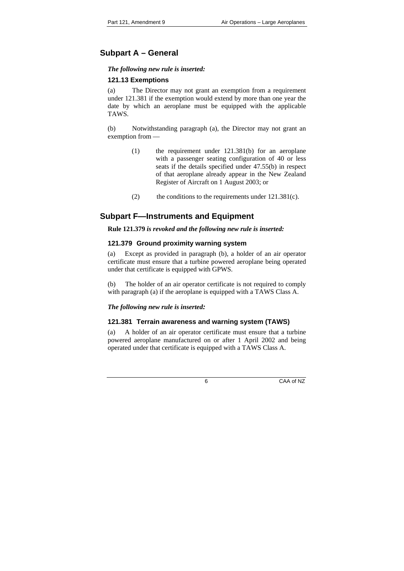# **Subpart A – General**

### *The following new rule is inserted:*

# **121.13 Exemptions**

(a) The Director may not grant an exemption from a requirement under 121.381 if the exemption would extend by more than one year the date by which an aeroplane must be equipped with the applicable TAWS.

<span id="page-5-0"></span>(b) Notwithstanding paragraph (a), the Director may not grant an exemption from —

- (1) the requirement under 121.381(b) for an aeroplane with a passenger seating configuration of 40 or less seats if the details specified under 47.55(b) in respect of that aeroplane already appear in the New Zealand Register of Aircraft on 1 August 2003; or
- (2) the conditions to the requirements under  $121.381(c)$ .

# **Subpart F—Instruments and Equipment**

### **Rule 121.379** *is revoked and the following new rule is inserted:*

# **121.379 Ground proximity warning system**

(a) Except as provided in paragraph (b), a holder of an air operator certificate must ensure that a turbine powered aeroplane being operated under that certificate is equipped with GPWS.

<span id="page-5-1"></span>(b) The holder of an air operator certificate is not required to comply with paragraph (a) if the aeroplane is equipped with a TAWS Class A.

# *The following new rule is inserted:*

# **121.381 Terrain awareness and warning system (TAWS)**

<span id="page-5-2"></span>(a) A holder of an air operator certificate must ensure that a turbine powered aeroplane manufactured on or after 1 April 2002 and being operated under that certificate is equipped with a TAWS Class A.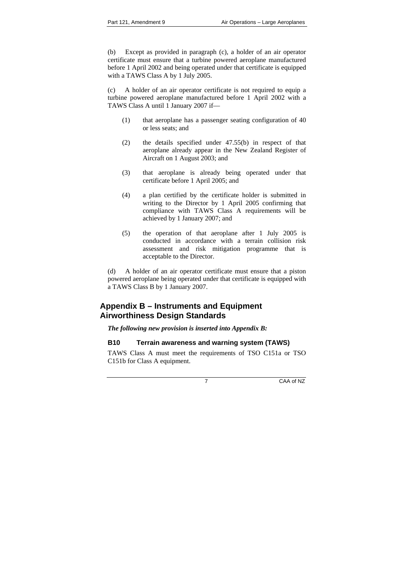(b) Except as provided in paragraph (c), a holder of an air operator certificate must ensure that a turbine powered aeroplane manufactured before 1 April 2002 and being operated under that certificate is equipped with a TAWS Class A by 1 July 2005.

(c) A holder of an air operator certificate is not required to equip a turbine powered aeroplane manufactured before 1 April 2002 with a TAWS Class A until 1 January 2007 if—

- (1) that aeroplane has a passenger seating configuration of 40 or less seats; and
- (2) the details specified under 47.55(b) in respect of that aeroplane already appear in the New Zealand Register of Aircraft on 1 August 2003; and
- (3) that aeroplane is already being operated under that certificate before 1 April 2005; and
- (4) a plan certified by the certificate holder is submitted in writing to the Director by 1 April 2005 confirming that compliance with TAWS Class A requirements will be achieved by 1 January 2007; and
- (5) the operation of that aeroplane after 1 July 2005 is conducted in accordance with a terrain collision risk assessment and risk mitigation programme that is acceptable to the Director.

(d) A holder of an air operator certificate must ensure that a piston powered aeroplane being operated under that certificate is equipped with a TAWS Class B by 1 January 2007.

# **Appendix B – Instruments and Equipment Airworthiness Design Standards**

*The following new provision is inserted into Appendix B:* 

# **B10 Terrain awareness and warning system (TAWS)**

<span id="page-6-0"></span>TAWS Class A must meet the requirements of TSO C151a or TSO C151b for Class A equipment.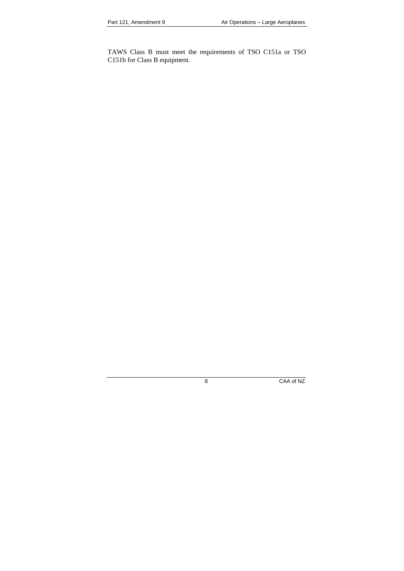TAWS Class B must meet the requirements of TSO C151a or TSO C151b for Class B equipment.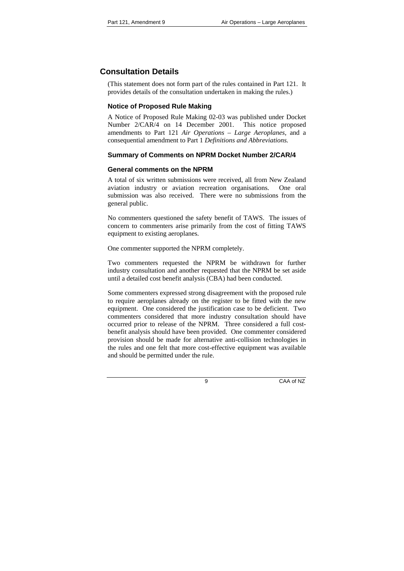# **Consultation Details**

(This statement does not form part of the rules contained in Part 121. It provides details of the consultation undertaken in making the rules.)

# **Notice of Proposed Rule Making**

A Notice of Proposed Rule Making 02-03 was published under Docket Number 2/CAR/4 on 14 December 2001. This notice proposed amendments to Part 121 *Air Operations – Large Aeroplanes*, and a consequential amendment to Part 1 *Definitions and Abbreviations.*

# <span id="page-8-0"></span>**Summary of Comments on NPRM Docket Number 2/CAR/4**

# **General comments on the NPRM**

A total of six written submissions were received, all from New Zealand aviation industry or aviation recreation organisations. One oral submission was also received. There were no submissions from the general public.

No commenters questioned the safety benefit of TAWS. The issues of concern to commenters arise primarily from the cost of fitting TAWS equipment to existing aeroplanes.

One commenter supported the NPRM completely.

Two commenters requested the NPRM be withdrawn for further industry consultation and another requested that the NPRM be set aside until a detailed cost benefit analysis (CBA) had been conducted.

Some commenters expressed strong disagreement with the proposed rule to require aeroplanes already on the register to be fitted with the new equipment. One considered the justification case to be deficient. Two commenters considered that more industry consultation should have occurred prior to release of the NPRM. Three considered a full costbenefit analysis should have been provided. One commenter considered provision should be made for alternative anti-collision technologies in the rules and one felt that more cost-effective equipment was available and should be permitted under the rule.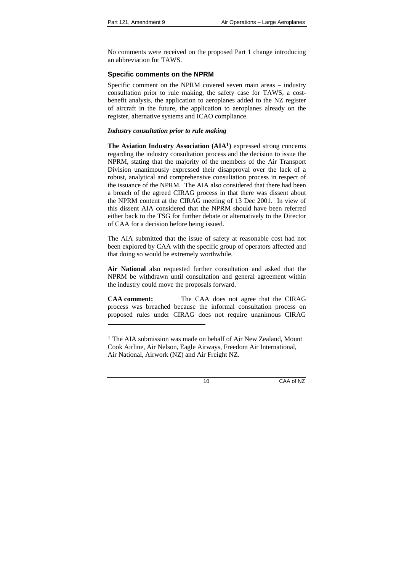l

No comments were received on the proposed Part 1 change introducing an abbreviation for TAWS.

# **Specific comments on the NPRM**

Specific comment on the NPRM covered seven main areas – industry consultation prior to rule making, the safety case for TAWS, a costbenefit analysis, the application to aeroplanes added to the NZ register of aircraft in the future, the application to aeroplanes already on the register, alternative systems and ICAO compliance.

### *Industry consultation prior to rule making*

**The Aviation Industry Association (AIA1)** expressed strong concerns regarding the industry consultation process and the decision to issue the NPRM, stating that the majority of the members of the Air Transport Division unanimously expressed their disapproval over the lack of a robust, analytical and comprehensive consultation process in respect of the issuance of the NPRM. The AIA also considered that there had been a breach of the agreed CIRAG process in that there was dissent about the NPRM content at the CIRAG meeting of 13 Dec 2001. In view of this dissent AIA considered that the NPRM should have been referred either back to the TSG for further debate or alternatively to the Director of CAA for a decision before being issued.

The AIA submitted that the issue of safety at reasonable cost had not been explored by CAA with the specific group of operators affected and that doing so would be extremely worthwhile.

**Air National** also requested further consultation and asked that the NPRM be withdrawn until consultation and general agreement within the industry could move the proposals forward.

**CAA comment:** The CAA does not agree that the CIRAG process was breached because the informal consultation process on proposed rules under CIRAG does not require unanimous CIRAG

 $<sup>1</sup>$  The AIA submission was made on behalf of Air New Zealand, Mount</sup> Cook Airline, Air Nelson, Eagle Airways, Freedom Air International, Air National, Airwork (NZ) and Air Freight NZ.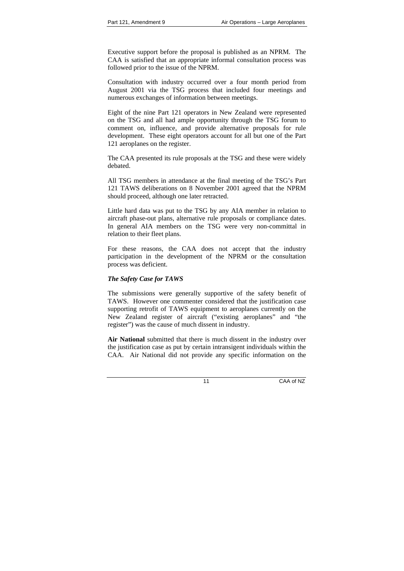Executive support before the proposal is published as an NPRM. The CAA is satisfied that an appropriate informal consultation process was followed prior to the issue of the NPRM.

Consultation with industry occurred over a four month period from August 2001 via the TSG process that included four meetings and numerous exchanges of information between meetings.

Eight of the nine Part 121 operators in New Zealand were represented on the TSG and all had ample opportunity through the TSG forum to comment on, influence, and provide alternative proposals for rule development. These eight operators account for all but one of the Part 121 aeroplanes on the register.

The CAA presented its rule proposals at the TSG and these were widely debated.

All TSG members in attendance at the final meeting of the TSG's Part 121 TAWS deliberations on 8 November 2001 agreed that the NPRM should proceed, although one later retracted.

Little hard data was put to the TSG by any AIA member in relation to aircraft phase-out plans, alternative rule proposals or compliance dates. In general AIA members on the TSG were very non-committal in relation to their fleet plans.

For these reasons, the CAA does not accept that the industry participation in the development of the NPRM or the consultation process was deficient.

### *The Safety Case for TAWS*

The submissions were generally supportive of the safety benefit of TAWS. However one commenter considered that the justification case supporting retrofit of TAWS equipment to aeroplanes currently on the New Zealand register of aircraft ("existing aeroplanes" and "the register") was the cause of much dissent in industry.

**Air National** submitted that there is much dissent in the industry over the justification case as put by certain intransigent individuals within the CAA. Air National did not provide any specific information on the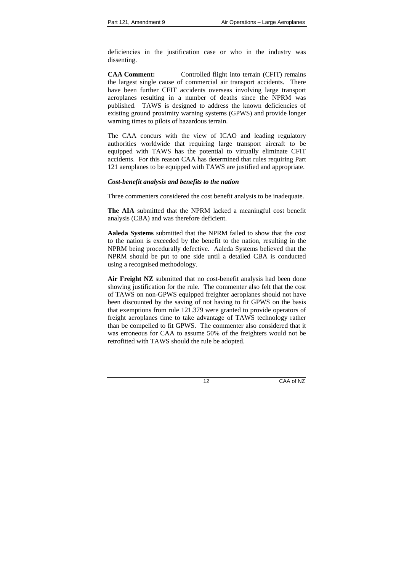deficiencies in the justification case or who in the industry was dissenting.

**CAA Comment:** Controlled flight into terrain (CFIT) remains the largest single cause of commercial air transport accidents. There have been further CFIT accidents overseas involving large transport aeroplanes resulting in a number of deaths since the NPRM was published. TAWS is designed to address the known deficiencies of existing ground proximity warning systems (GPWS) and provide longer warning times to pilots of hazardous terrain.

The CAA concurs with the view of ICAO and leading regulatory authorities worldwide that requiring large transport aircraft to be equipped with TAWS has the potential to virtually eliminate CFIT accidents. For this reason CAA has determined that rules requiring Part 121 aeroplanes to be equipped with TAWS are justified and appropriate.

### *Cost-benefit analysis and benefits to the nation*

Three commenters considered the cost benefit analysis to be inadequate.

**The AIA** submitted that the NPRM lacked a meaningful cost benefit analysis (CBA) and was therefore deficient.

**Aaleda Systems** submitted that the NPRM failed to show that the cost to the nation is exceeded by the benefit to the nation, resulting in the NPRM being procedurally defective. Aaleda Systems believed that the NPRM should be put to one side until a detailed CBA is conducted using a recognised methodology.

**Air Freight NZ** submitted that no cost-benefit analysis had been done showing justification for the rule. The commenter also felt that the cost of TAWS on non-GPWS equipped freighter aeroplanes should not have been discounted by the saving of not having to fit GPWS on the basis that exemptions from rule 121.379 were granted to provide operators of freight aeroplanes time to take advantage of TAWS technology rather than be compelled to fit GPWS. The commenter also considered that it was erroneous for CAA to assume 50% of the freighters would not be retrofitted with TAWS should the rule be adopted.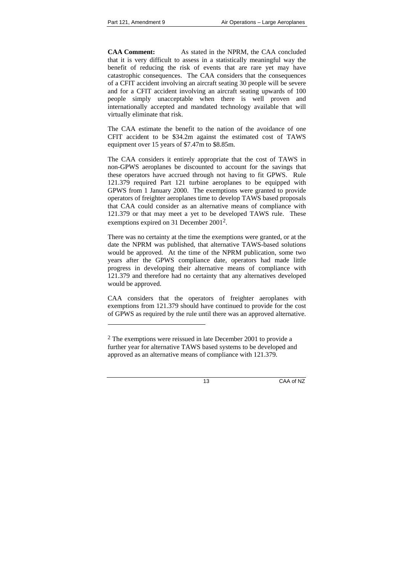l

**CAA Comment:** As stated in the NPRM, the CAA concluded that it is very difficult to assess in a statistically meaningful way the benefit of reducing the risk of events that are rare yet may have catastrophic consequences. The CAA considers that the consequences of a CFIT accident involving an aircraft seating 30 people will be severe and for a CFIT accident involving an aircraft seating upwards of 100 people simply unacceptable when there is well proven and internationally accepted and mandated technology available that will virtually eliminate that risk.

The CAA estimate the benefit to the nation of the avoidance of one CFIT accident to be \$34.2m against the estimated cost of TAWS equipment over 15 years of \$7.47m to \$8.85m.

The CAA considers it entirely appropriate that the cost of TAWS in non-GPWS aeroplanes be discounted to account for the savings that these operators have accrued through not having to fit GPWS. Rule 121.379 required Part 121 turbine aeroplanes to be equipped with GPWS from 1 January 2000. The exemptions were granted to provide operators of freighter aeroplanes time to develop TAWS based proposals that CAA could consider as an alternative means of compliance with 121.379 or that may meet a yet to be developed TAWS rule. These exemptions expired on 31 December 20012.

There was no certainty at the time the exemptions were granted, or at the date the NPRM was published, that alternative TAWS-based solutions would be approved. At the time of the NPRM publication, some two years after the GPWS compliance date, operators had made little progress in developing their alternative means of compliance with 121.379 and therefore had no certainty that any alternatives developed would be approved.

CAA considers that the operators of freighter aeroplanes with exemptions from 121.379 should have continued to provide for the cost of GPWS as required by the rule until there was an approved alternative.

 $2^2$  The exemptions were reissued in late December 2001 to provide a further year for alternative TAWS based systems to be developed and approved as an alternative means of compliance with 121.379.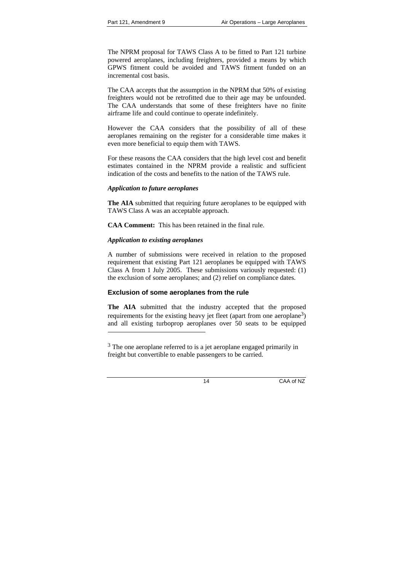The NPRM proposal for TAWS Class A to be fitted to Part 121 turbine powered aeroplanes, including freighters, provided a means by which GPWS fitment could be avoided and TAWS fitment funded on an incremental cost basis.

The CAA accepts that the assumption in the NPRM that 50% of existing freighters would not be retrofitted due to their age may be unfounded. The CAA understands that some of these freighters have no finite airframe life and could continue to operate indefinitely.

However the CAA considers that the possibility of all of these aeroplanes remaining on the register for a considerable time makes it even more beneficial to equip them with TAWS.

For these reasons the CAA considers that the high level cost and benefit estimates contained in the NPRM provide a realistic and sufficient indication of the costs and benefits to the nation of the TAWS rule.

### *Application to future aeroplanes*

**The AIA** submitted that requiring future aeroplanes to be equipped with TAWS Class A was an acceptable approach.

**CAA Comment:** This has been retained in the final rule.

# *Application to existing aeroplanes*

-

A number of submissions were received in relation to the proposed requirement that existing Part 121 aeroplanes be equipped with TAWS Class A from 1 July 2005. These submissions variously requested: (1) the exclusion of some aeroplanes; and (2) relief on compliance dates.

# **Exclusion of some aeroplanes from the rule**

**The AIA** submitted that the industry accepted that the proposed requirements for the existing heavy jet fleet (apart from one aeroplane<sup>3</sup>) and all existing turboprop aeroplanes over 50 seats to be equipped

<sup>&</sup>lt;sup>3</sup> The one aeroplane referred to is a jet aeroplane engaged primarily in freight but convertible to enable passengers to be carried.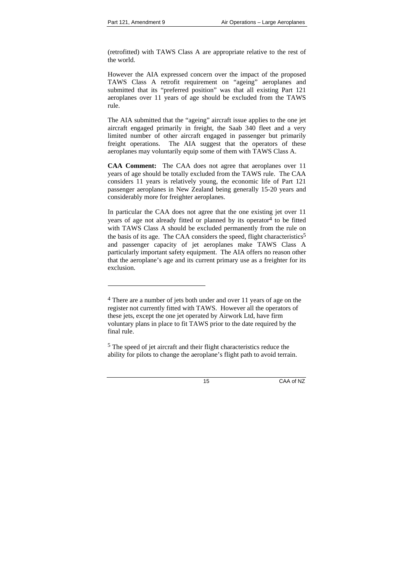l

(retrofitted) with TAWS Class A are appropriate relative to the rest of the world.

However the AIA expressed concern over the impact of the proposed TAWS Class A retrofit requirement on "ageing" aeroplanes and submitted that its "preferred position" was that all existing Part 121 aeroplanes over 11 years of age should be excluded from the TAWS rule.

The AIA submitted that the "ageing" aircraft issue applies to the one jet aircraft engaged primarily in freight, the Saab 340 fleet and a very limited number of other aircraft engaged in passenger but primarily freight operations. The AIA suggest that the operators of these aeroplanes may voluntarily equip some of them with TAWS Class A.

**CAA Comment:** The CAA does not agree that aeroplanes over 11 years of age should be totally excluded from the TAWS rule. The CAA considers 11 years is relatively young, the economic life of Part 121 passenger aeroplanes in New Zealand being generally 15-20 years and considerably more for freighter aeroplanes.

In particular the CAA does not agree that the one existing jet over 11 years of age not already fitted or planned by its operator $4$  to be fitted with TAWS Class A should be excluded permanently from the rule on the basis of its age. The CAA considers the speed, flight characteristics<sup>5</sup> and passenger capacity of jet aeroplanes make TAWS Class A particularly important safety equipment. The AIA offers no reason other that the aeroplane's age and its current primary use as a freighter for its exclusion.

5 The speed of jet aircraft and their flight characteristics reduce the ability for pilots to change the aeroplane's flight path to avoid terrain.

<sup>&</sup>lt;sup>4</sup> There are a number of jets both under and over 11 years of age on the register not currently fitted with TAWS. However all the operators of these jets, except the one jet operated by Airwork Ltd, have firm voluntary plans in place to fit TAWS prior to the date required by the final rule.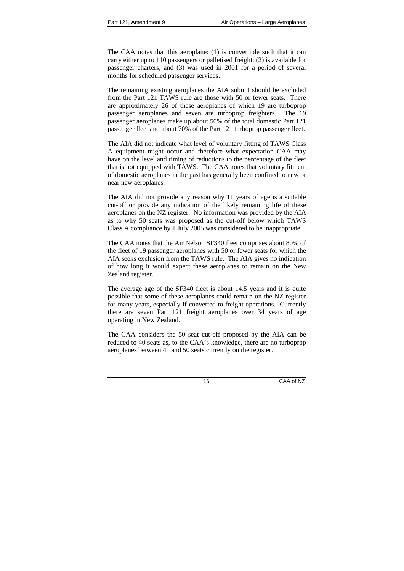The CAA notes that this aeroplane: (1) is convertible such that it can carry either up to 110 passengers or palletised freight; (2) is available for passenger charters; and (3) was used in 2001 for a period of several months for scheduled passenger services.

The remaining existing aeroplanes the AIA submit should be excluded from the Part 121 TAWS rule are those with 50 or fewer seats. There are approximately 26 of these aeroplanes of which 19 are turboprop passenger aeroplanes and seven are turboprop freighters. The 19 passenger aeroplanes make up about 50% of the total domestic Part 121 passenger fleet and about 70% of the Part 121 turboprop passenger fleet.

The AIA did not indicate what level of voluntary fitting of TAWS Class A equipment might occur and therefore what expectation CAA may have on the level and timing of reductions to the percentage of the fleet that is not equipped with TAWS. The CAA notes that voluntary fitment of domestic aeroplanes in the past has generally been confined to new or near new aeroplanes.

The AIA did not provide any reason why 11 years of age is a suitable cut-off or provide any indication of the likely remaining life of these aeroplanes on the NZ register. No information was provided by the AIA as to why 50 seats was proposed as the cut-off below which TAWS Class A compliance by 1 July 2005 was considered to be inappropriate.

The CAA notes that the Air Nelson SF340 fleet comprises about 80% of the fleet of 19 passenger aeroplanes with 50 or fewer seats for which the AIA seeks exclusion from the TAWS rule. The AIA gives no indication of how long it would expect these aeroplanes to remain on the New Zealand register.

The average age of the SF340 fleet is about 14.5 years and it is quite possible that some of these aeroplanes could remain on the NZ register for many years, especially if converted to freight operations. Currently there are seven Part 121 freight aeroplanes over 34 years of age operating in New Zealand.

The CAA considers the 50 seat cut-off proposed by the AIA can be reduced to 40 seats as, to the CAA's knowledge, there are no turboprop aeroplanes between 41 and 50 seats currently on the register.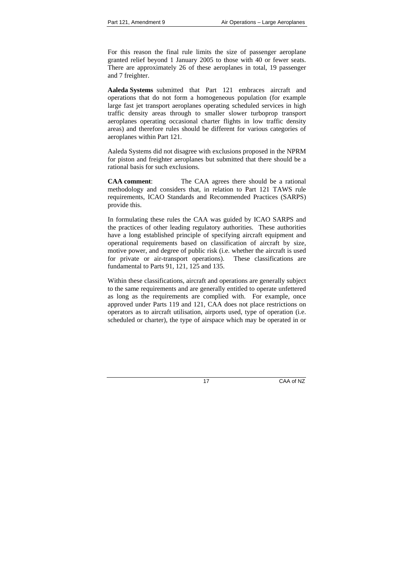For this reason the final rule limits the size of passenger aeroplane granted relief beyond 1 January 2005 to those with 40 or fewer seats. There are approximately 26 of these aeroplanes in total, 19 passenger and 7 freighter.

**Aaleda Systems** submitted that Part 121 embraces aircraft and operations that do not form a homogeneous population (for example large fast jet transport aeroplanes operating scheduled services in high traffic density areas through to smaller slower turboprop transport aeroplanes operating occasional charter flights in low traffic density areas) and therefore rules should be different for various categories of aeroplanes within Part 121.

Aaleda Systems did not disagree with exclusions proposed in the NPRM for piston and freighter aeroplanes but submitted that there should be a rational basis for such exclusions.

**CAA comment**: The CAA agrees there should be a rational methodology and considers that, in relation to Part 121 TAWS rule requirements, ICAO Standards and Recommended Practices (SARPS) provide this.

In formulating these rules the CAA was guided by ICAO SARPS and the practices of other leading regulatory authorities. These authorities have a long established principle of specifying aircraft equipment and operational requirements based on classification of aircraft by size, motive power, and degree of public risk (i.e. whether the aircraft is used for private or air-transport operations). These classifications are fundamental to Parts 91, 121, 125 and 135.

Within these classifications, aircraft and operations are generally subject to the same requirements and are generally entitled to operate unfettered as long as the requirements are complied with. For example, once approved under Parts 119 and 121, CAA does not place restrictions on operators as to aircraft utilisation, airports used, type of operation (i.e. scheduled or charter), the type of airspace which may be operated in or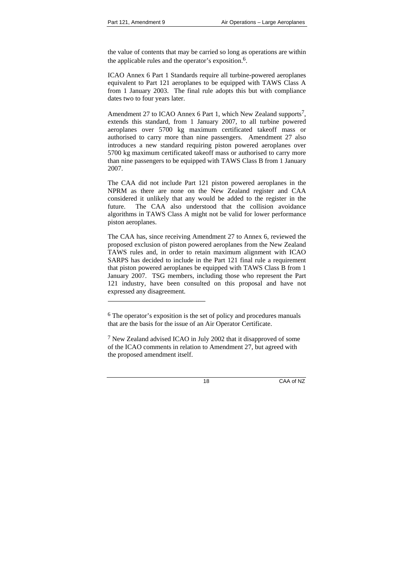l

the value of contents that may be carried so long as operations are within the applicable rules and the operator's exposition.6.

ICAO Annex 6 Part 1 Standards require all turbine-powered aeroplanes equivalent to Part 121 aeroplanes to be equipped with TAWS Class A from 1 January 2003. The final rule adopts this but with compliance dates two to four years later.

Amendment 27 to ICAO Annex 6 Part 1, which New Zealand supports<sup>7</sup>, extends this standard, from 1 January 2007, to all turbine powered aeroplanes over 5700 kg maximum certificated takeoff mass or authorised to carry more than nine passengers. Amendment 27 also introduces a new standard requiring piston powered aeroplanes over 5700 kg maximum certificated takeoff mass or authorised to carry more than nine passengers to be equipped with TAWS Class B from 1 January 2007.

The CAA did not include Part 121 piston powered aeroplanes in the NPRM as there are none on the New Zealand register and CAA considered it unlikely that any would be added to the register in the future. The CAA also understood that the collision avoidance algorithms in TAWS Class A might not be valid for lower performance piston aeroplanes.

The CAA has, since receiving Amendment 27 to Annex 6, reviewed the proposed exclusion of piston powered aeroplanes from the New Zealand TAWS rules and, in order to retain maximum alignment with ICAO SARPS has decided to include in the Part 121 final rule a requirement that piston powered aeroplanes be equipped with TAWS Class B from 1 January 2007. TSG members, including those who represent the Part 121 industry, have been consulted on this proposal and have not expressed any disagreement.

<sup>6</sup> The operator's exposition is the set of policy and procedures manuals that are the basis for the issue of an Air Operator Certificate.

<sup>7</sup> New Zealand advised ICAO in July 2002 that it disapproved of some of the ICAO comments in relation to Amendment 27, but agreed with the proposed amendment itself.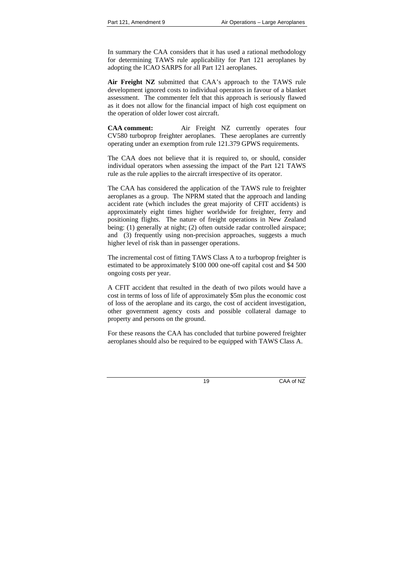In summary the CAA considers that it has used a rational methodology for determining TAWS rule applicability for Part 121 aeroplanes by adopting the ICAO SARPS for all Part 121 aeroplanes.

**Air Freight NZ** submitted that CAA's approach to the TAWS rule development ignored costs to individual operators in favour of a blanket assessment. The commenter felt that this approach is seriously flawed as it does not allow for the financial impact of high cost equipment on the operation of older lower cost aircraft.

**CAA comment:** Air Freight NZ currently operates four CV580 turboprop freighter aeroplanes. These aeroplanes are currently operating under an exemption from rule 121.379 GPWS requirements.

The CAA does not believe that it is required to, or should, consider individual operators when assessing the impact of the Part 121 TAWS rule as the rule applies to the aircraft irrespective of its operator.

The CAA has considered the application of the TAWS rule to freighter aeroplanes as a group. The NPRM stated that the approach and landing accident rate (which includes the great majority of CFIT accidents) is approximately eight times higher worldwide for freighter, ferry and positioning flights. The nature of freight operations in New Zealand being: (1) generally at night; (2) often outside radar controlled airspace; and (3) frequently using non-precision approaches, suggests a much higher level of risk than in passenger operations.

The incremental cost of fitting TAWS Class A to a turboprop freighter is estimated to be approximately \$100 000 one-off capital cost and \$4 500 ongoing costs per year.

A CFIT accident that resulted in the death of two pilots would have a cost in terms of loss of life of approximately \$5m plus the economic cost of loss of the aeroplane and its cargo, the cost of accident investigation, other government agency costs and possible collateral damage to property and persons on the ground.

For these reasons the CAA has concluded that turbine powered freighter aeroplanes should also be required to be equipped with TAWS Class A.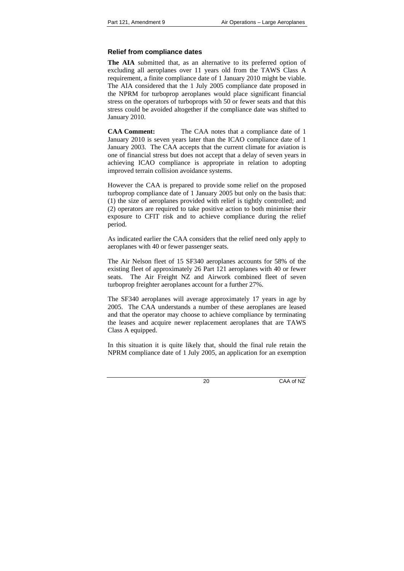# **Relief from compliance dates**

**The AIA** submitted that, as an alternative to its preferred option of excluding all aeroplanes over 11 years old from the TAWS Class A requirement, a finite compliance date of 1 January 2010 might be viable. The AIA considered that the 1 July 2005 compliance date proposed in the NPRM for turboprop aeroplanes would place significant financial stress on the operators of turboprops with 50 or fewer seats and that this stress could be avoided altogether if the compliance date was shifted to January 2010.

**CAA Comment:** The CAA notes that a compliance date of 1 January 2010 is seven years later than the ICAO compliance date of 1 January 2003. The CAA accepts that the current climate for aviation is one of financial stress but does not accept that a delay of seven years in achieving ICAO compliance is appropriate in relation to adopting improved terrain collision avoidance systems.

However the CAA is prepared to provide some relief on the proposed turboprop compliance date of 1 January 2005 but only on the basis that: (1) the size of aeroplanes provided with relief is tightly controlled; and (2) operators are required to take positive action to both minimise their exposure to CFIT risk and to achieve compliance during the relief period.

As indicated earlier the CAA considers that the relief need only apply to aeroplanes with 40 or fewer passenger seats.

The Air Nelson fleet of 15 SF340 aeroplanes accounts for 58% of the existing fleet of approximately 26 Part 121 aeroplanes with 40 or fewer seats. The Air Freight NZ and Airwork combined fleet of seven turboprop freighter aeroplanes account for a further 27%.

The SF340 aeroplanes will average approximately 17 years in age by 2005. The CAA understands a number of these aeroplanes are leased and that the operator may choose to achieve compliance by terminating the leases and acquire newer replacement aeroplanes that are TAWS Class A equipped.

In this situation it is quite likely that, should the final rule retain the NPRM compliance date of 1 July 2005, an application for an exemption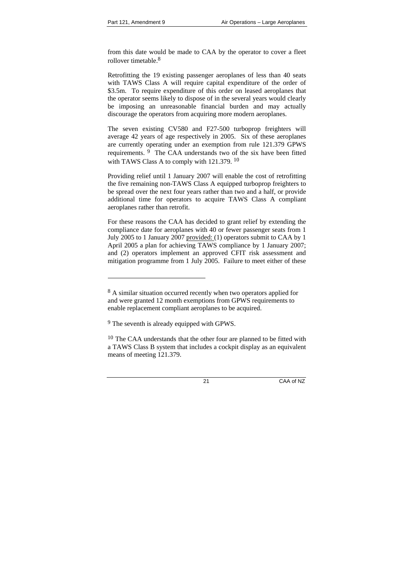from this date would be made to CAA by the operator to cover a fleet rollover timetable.<sup>8</sup>

Retrofitting the 19 existing passenger aeroplanes of less than 40 seats with TAWS Class A will require capital expenditure of the order of \$3.5m. To require expenditure of this order on leased aeroplanes that the operator seems likely to dispose of in the several years would clearly be imposing an unreasonable financial burden and may actually discourage the operators from acquiring more modern aeroplanes.

The seven existing CV580 and F27-500 turboprop freighters will average 42 years of age respectively in 2005. Six of these aeroplanes are currently operating under an exemption from rule 121.379 GPWS requirements. 9 The CAA understands two of the six have been fitted with TAWS Class A to comply with 121.379.<sup>10</sup>

Providing relief until 1 January 2007 will enable the cost of retrofitting the five remaining non-TAWS Class A equipped turboprop freighters to be spread over the next four years rather than two and a half, or provide additional time for operators to acquire TAWS Class A compliant aeroplanes rather than retrofit.

For these reasons the CAA has decided to grant relief by extending the compliance date for aeroplanes with 40 or fewer passenger seats from 1 July 2005 to 1 January 2007 provided: (1) operators submit to CAA by 1 April 2005 a plan for achieving TAWS compliance by 1 January 2007; and (2) operators implement an approved CFIT risk assessment and mitigation programme from 1 July 2005. Failure to meet either of these

l

<sup>&</sup>lt;sup>8</sup> A similar situation occurred recently when two operators applied for and were granted 12 month exemptions from GPWS requirements to enable replacement compliant aeroplanes to be acquired.

<sup>9</sup> The seventh is already equipped with GPWS.

<sup>&</sup>lt;sup>10</sup> The CAA understands that the other four are planned to be fitted with a TAWS Class B system that includes a cockpit display as an equivalent means of meeting 121.379.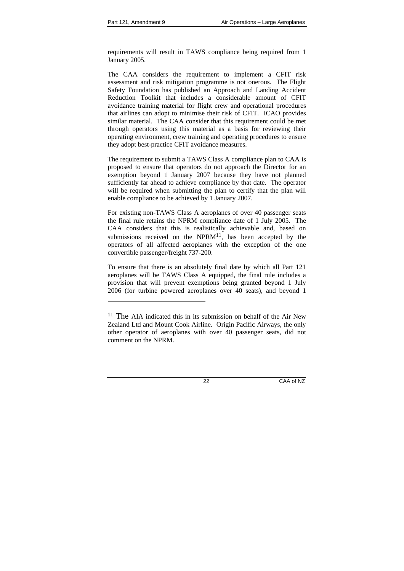l

requirements will result in TAWS compliance being required from 1 January 2005.

The CAA considers the requirement to implement a CFIT risk assessment and risk mitigation programme is not onerous. The Flight Safety Foundation has published an Approach and Landing Accident Reduction Toolkit that includes a considerable amount of CFIT avoidance training material for flight crew and operational procedures that airlines can adopt to minimise their risk of CFIT. ICAO provides similar material. The CAA consider that this requirement could be met through operators using this material as a basis for reviewing their operating environment, crew training and operating procedures to ensure they adopt best-practice CFIT avoidance measures.

The requirement to submit a TAWS Class A compliance plan to CAA is proposed to ensure that operators do not approach the Director for an exemption beyond 1 January 2007 because they have not planned sufficiently far ahead to achieve compliance by that date. The operator will be required when submitting the plan to certify that the plan will enable compliance to be achieved by 1 January 2007.

For existing non-TAWS Class A aeroplanes of over 40 passenger seats the final rule retains the NPRM compliance date of 1 July 2005. The CAA considers that this is realistically achievable and, based on submissions received on the  $NPRM<sup>11</sup>$ , has been accepted by the operators of all affected aeroplanes with the exception of the one convertible passenger/freight 737-200.

To ensure that there is an absolutely final date by which all Part 121 aeroplanes will be TAWS Class A equipped, the final rule includes a provision that will prevent exemptions being granted beyond 1 July 2006 (for turbine powered aeroplanes over 40 seats), and beyond 1

<sup>&</sup>lt;sup>11</sup> The AIA indicated this in its submission on behalf of the Air New Zealand Ltd and Mount Cook Airline. Origin Pacific Airways, the only other operator of aeroplanes with over 40 passenger seats, did not comment on the NPRM.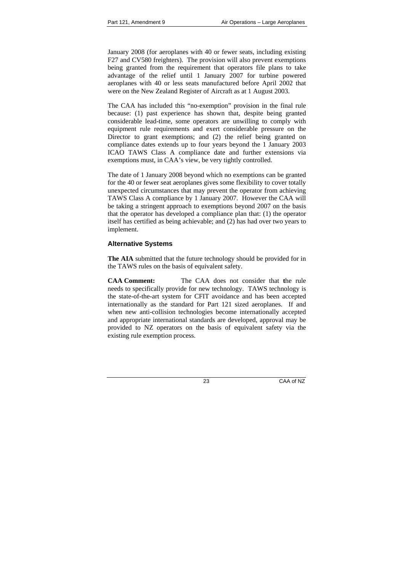January 2008 (for aeroplanes with 40 or fewer seats, including existing F27 and CV580 freighters). The provision will also prevent exemptions being granted from the requirement that operators file plans to take advantage of the relief until 1 January 2007 for turbine powered aeroplanes with 40 or less seats manufactured before April 2002 that were on the New Zealand Register of Aircraft as at 1 August 2003.

The CAA has included this "no-exemption" provision in the final rule because: (1) past experience has shown that, despite being granted considerable lead-time, some operators are unwilling to comply with equipment rule requirements and exert considerable pressure on the Director to grant exemptions; and (2) the relief being granted on compliance dates extends up to four years beyond the 1 January 2003 ICAO TAWS Class A compliance date and further extensions via exemptions must, in CAA's view, be very tightly controlled.

The date of 1 January 2008 beyond which no exemptions can be granted for the 40 or fewer seat aeroplanes gives some flexibility to cover totally unexpected circumstances that may prevent the operator from achieving TAWS Class A compliance by 1 January 2007. However the CAA will be taking a stringent approach to exemptions beyond 2007 on the basis that the operator has developed a compliance plan that: (1) the operator itself has certified as being achievable; and (2) has had over two years to implement.

# **Alternative Systems**

**The AIA** submitted that the future technology should be provided for in the TAWS rules on the basis of equivalent safety.

**CAA Comment:** The CAA does not consider that **t**he rule needs to specifically provide for new technology. TAWS technology is the state-of-the-art system for CFIT avoidance and has been accepted internationally as the standard for Part 121 sized aeroplanes. If and when new anti-collision technologies become internationally accepted and appropriate international standards are developed, approval may be provided to NZ operators on the basis of equivalent safety via the existing rule exemption process.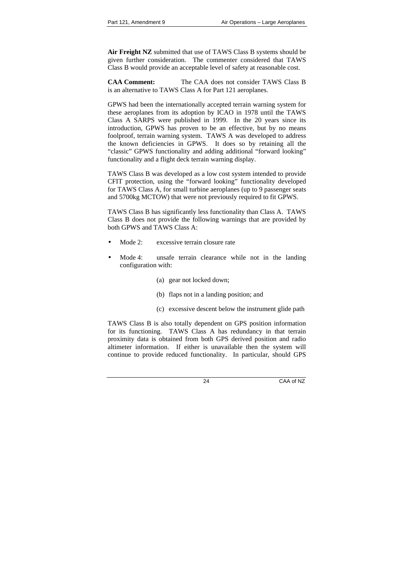**Air Freight NZ** submitted that use of TAWS Class B systems should be given further consideration. The commenter considered that TAWS Class B would provide an acceptable level of safety at reasonable cost.

**CAA Comment:** The CAA does not consider TAWS Class B is an alternative to TAWS Class A for Part 121 aeroplanes.

GPWS had been the internationally accepted terrain warning system for these aeroplanes from its adoption by ICAO in 1978 until the TAWS Class A SARPS were published in 1999. In the 20 years since its introduction, GPWS has proven to be an effective, but by no means foolproof, terrain warning system. TAWS A was developed to address the known deficiencies in GPWS. It does so by retaining all the "classic" GPWS functionality and adding additional "forward looking" functionality and a flight deck terrain warning display.

TAWS Class B was developed as a low cost system intended to provide CFIT protection, using the "forward looking" functionality developed for TAWS Class A, for small turbine aeroplanes (up to 9 passenger seats and 5700kg MCTOW) that were not previously required to fit GPWS.

TAWS Class B has significantly less functionality than Class A. TAWS Class B does not provide the following warnings that are provided by both GPWS and TAWS Class A:

- Mode 2: excessive terrain closure rate
- Mode 4: unsafe terrain clearance while not in the landing configuration with:
	- (a) gear not locked down;
	- (b) flaps not in a landing position; and
	- (c) excessive descent below the instrument glide path

TAWS Class B is also totally dependent on GPS position information for its functioning. TAWS Class A has redundancy in that terrain proximity data is obtained from both GPS derived position and radio altimeter information. If either is unavailable then the system will continue to provide reduced functionality. In particular, should GPS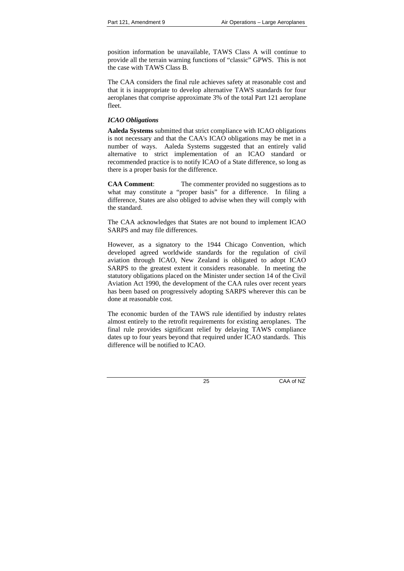position information be unavailable, TAWS Class A will continue to provide all the terrain warning functions of "classic" GPWS. This is not the case with TAWS Class B.

The CAA considers the final rule achieves safety at reasonable cost and that it is inappropriate to develop alternative TAWS standards for four aeroplanes that comprise approximate 3% of the total Part 121 aeroplane fleet.

### *ICAO Obligations*

**Aaleda Systems** submitted that strict compliance with ICAO obligations is not necessary and that the CAA's ICAO obligations may be met in a number of ways. Aaleda Systems suggested that an entirely valid alternative to strict implementation of an ICAO standard or recommended practice is to notify ICAO of a State difference, so long as there is a proper basis for the difference.

**CAA Comment**: The commenter provided no suggestions as to what may constitute a "proper basis" for a difference. In filing a difference, States are also obliged to advise when they will comply with the standard.

The CAA acknowledges that States are not bound to implement ICAO SARPS and may file differences.

However, as a signatory to the 1944 Chicago Convention, which developed agreed worldwide standards for the regulation of civil aviation through ICAO, New Zealand is obligated to adopt ICAO SARPS to the greatest extent it considers reasonable. In meeting the statutory obligations placed on the Minister under section 14 of the Civil Aviation Act 1990, the development of the CAA rules over recent years has been based on progressively adopting SARPS wherever this can be done at reasonable cost.

The economic burden of the TAWS rule identified by industry relates almost entirely to the retrofit requirements for existing aeroplanes. The final rule provides significant relief by delaying TAWS compliance dates up to four years beyond that required under ICAO standards. This difference will be notified to ICAO.